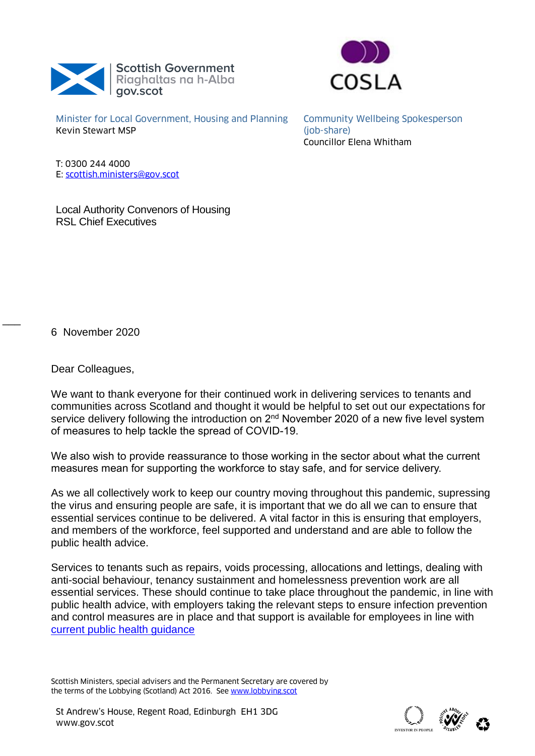



Minister for Local Government, Housing and Planning Kevin Stewart MSP

Community Wellbeing Spokesperson (job-share) Councillor Elena Whitham

T: 0300 244 4000 E: [scottish.ministers@gov.scot](mailto:scottish.ministers@gov.scot)

Local Authority Convenors of Housing RSL Chief Executives

6 November 2020

 $\overline{\phantom{a}}$ 

Dear Colleagues,

We want to thank everyone for their continued work in delivering services to tenants and communities across Scotland and thought it would be helpful to set out our expectations for service delivery following the introduction on 2<sup>nd</sup> November 2020 of a new five level system of measures to help tackle the spread of COVID-19.

We also wish to provide reassurance to those working in the sector about what the current measures mean for supporting the workforce to stay safe, and for service delivery.

As we all collectively work to keep our country moving throughout this pandemic, supressing the virus and ensuring people are safe, it is important that we do all we can to ensure that essential services continue to be delivered. A vital factor in this is ensuring that employers, and members of the workforce, feel supported and understand and are able to follow the public health advice.

Services to tenants such as repairs, voids processing, allocations and lettings, dealing with anti-social behaviour, tenancy sustainment and homelessness prevention work are all essential services. These should continue to take place throughout the pandemic, in line with public health advice, with employers taking the relevant steps to ensure infection prevention and control measures are in place and that support is available for employees in line with [current public health guidance](https://www.gov.scot/coronavirus-covid-19/)

Scottish Ministers, special advisers and the Permanent Secretary are covered by the terms of the Lobbying (Scotland) Act 2016. See [www.lobbying.scot](http://www.lobbying.scot/)

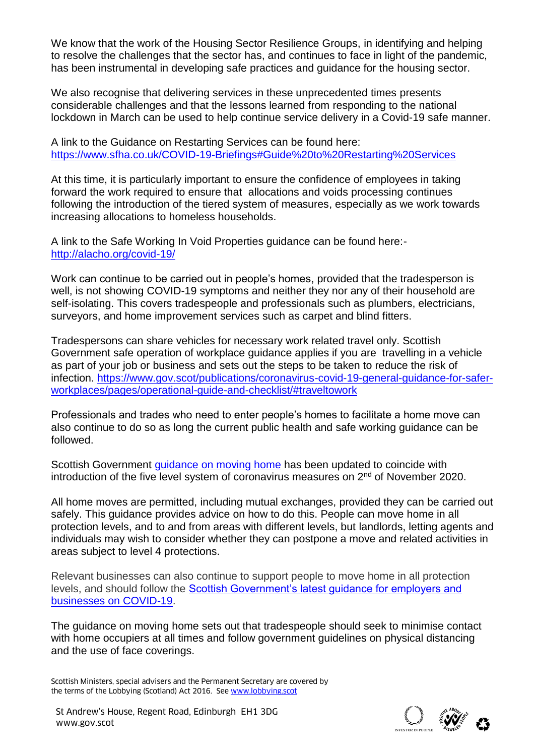We know that the work of the Housing Sector Resilience Groups, in identifying and helping to resolve the challenges that the sector has, and continues to face in light of the pandemic, has been instrumental in developing safe practices and guidance for the housing sector.

We also recognise that delivering services in these unprecedented times presents considerable challenges and that the lessons learned from responding to the national lockdown in March can be used to help continue service delivery in a Covid-19 safe manner.

A link to the Guidance on Restarting Services can be found here: <https://www.sfha.co.uk/COVID-19-Briefings#Guide%20to%20Restarting%20Services>

At this time, it is particularly important to ensure the confidence of employees in taking forward the work required to ensure that allocations and voids processing continues following the introduction of the tiered system of measures, especially as we work towards increasing allocations to homeless households.

A link to the Safe Working In Void Properties guidance can be found here: <http://alacho.org/covid-19/>

Work can continue to be carried out in people's homes, provided that the tradesperson is well, is not showing COVID-19 symptoms and neither they nor any of their household are self-isolating. This covers tradespeople and professionals such as plumbers, electricians, surveyors, and home improvement services such as carpet and blind fitters.

Tradespersons can share vehicles for necessary work related travel only. Scottish Government safe operation of workplace guidance applies if you are travelling in a vehicle as part of your job or business and sets out the steps to be taken to reduce the risk of infection. [https://www.gov.scot/publications/coronavirus-covid-19-general-guidance-for-safer](https://www.gov.scot/publications/coronavirus-covid-19-general-guidance-for-safer-workplaces/pages/operational-guide-and-checklist/#traveltowork)[workplaces/pages/operational-guide-and-checklist/#traveltowork](https://www.gov.scot/publications/coronavirus-covid-19-general-guidance-for-safer-workplaces/pages/operational-guide-and-checklist/#traveltowork)

Professionals and trades who need to enter people's homes to facilitate a home move can also continue to do so as long the current public health and safe working guidance can be followed.

Scottish Government *[guidance on moving home](https://www.gov.scot/publications/coronavirus-covid-19-guidance-moving-home/)* has been updated to coincide with introduction of the five level system of coronavirus measures on  $2<sup>nd</sup>$  of November 2020.

All home moves are permitted, including mutual exchanges, provided they can be carried out safely. This guidance provides advice on how to do this. People can move home in all protection levels, and to and from areas with different levels, but landlords, letting agents and individuals may wish to consider whether they can postpone a move and related activities in areas subject to level 4 protections.

Relevant businesses can also continue to support people to move home in all protection levels, and should follow the [Scottish Government's latest guidance for employers and](https://www.gov.scot/publications/coronavirus-covid-19-business-and-social-distancing-guidance/)  [businesses on COVID-19.](https://www.gov.scot/publications/coronavirus-covid-19-business-and-social-distancing-guidance/)

The guidance on moving home sets out that tradespeople should seek to minimise contact with home occupiers at all times and follow government guidelines on physical distancing and the use of face coverings.

Scottish Ministers, special advisers and the Permanent Secretary are covered by the terms of the Lobbying (Scotland) Act 2016. See [www.lobbying.scot](http://www.lobbying.scot/)

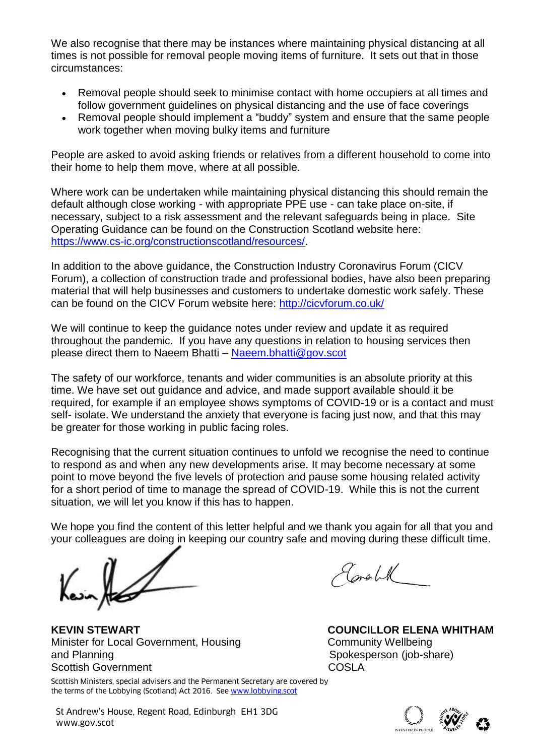We also recognise that there may be instances where maintaining physical distancing at all times is not possible for removal people moving items of furniture. It sets out that in those circumstances:

- Removal people should seek to minimise contact with home occupiers at all times and follow government guidelines on physical distancing and the use of face coverings
- Removal people should implement a "buddy" system and ensure that the same people work together when moving bulky items and furniture

People are asked to avoid asking friends or relatives from a different household to come into their home to help them move, where at all possible.

Where work can be undertaken while maintaining physical distancing this should remain the default although close working - with appropriate PPE use - can take place on-site, if necessary, subject to a risk assessment and the relevant safeguards being in place. Site Operating Guidance can be found on the Construction Scotland website here: [https://www.cs-ic.org/constructionscotland/resources/.](https://www.cs-ic.org/constructionscotland/resources/)

In addition to the above guidance, the Construction Industry Coronavirus Forum (CICV Forum), a collection of construction trade and professional bodies, have also been preparing material that will help businesses and customers to undertake domestic work safely. These can be found on the CICV Forum website here:<http://cicvforum.co.uk/>

We will continue to keep the guidance notes under review and update it as required throughout the pandemic. If you have any questions in relation to housing services then please direct them to Naeem Bhatti – [Naeem.bhatti@gov.scot](mailto:Naeem.bhatti@gov.scot)

The safety of our workforce, tenants and wider communities is an absolute priority at this time. We have set out guidance and advice, and made support available should it be required, for example if an employee shows symptoms of COVID-19 or is a contact and must self- isolate. We understand the anxiety that everyone is facing just now, and that this may be greater for those working in public facing roles.

Recognising that the current situation continues to unfold we recognise the need to continue to respond as and when any new developments arise. It may become necessary at some point to move beyond the five levels of protection and pause some housing related activity for a short period of time to manage the spread of COVID-19. While this is not the current situation, we will let you know if this has to happen.

We hope you find the content of this letter helpful and we thank you again for all that you and your colleagues are doing in keeping our country safe and moving during these difficult time.

 $\mathbb{Z}$ 

Scottish Ministers, special advisers and the Permanent Secretary are covered by **KEVIN STEWART COUNCILLOR ELENA WHITHAM**  Minister for Local Government, Housing **Community Wellbeing** and Planning and Planning and Planning Spokesperson (job-share) Scottish Government COSLA

Corable

the terms of the Lobbying (Scotland) Act 2016. See [www.lobbying.scot](http://www.lobbying.scot/)

St Andrew's House, Regent Road, Edinburgh EH1 3DG<br>www.gov.scot www.gov.scot